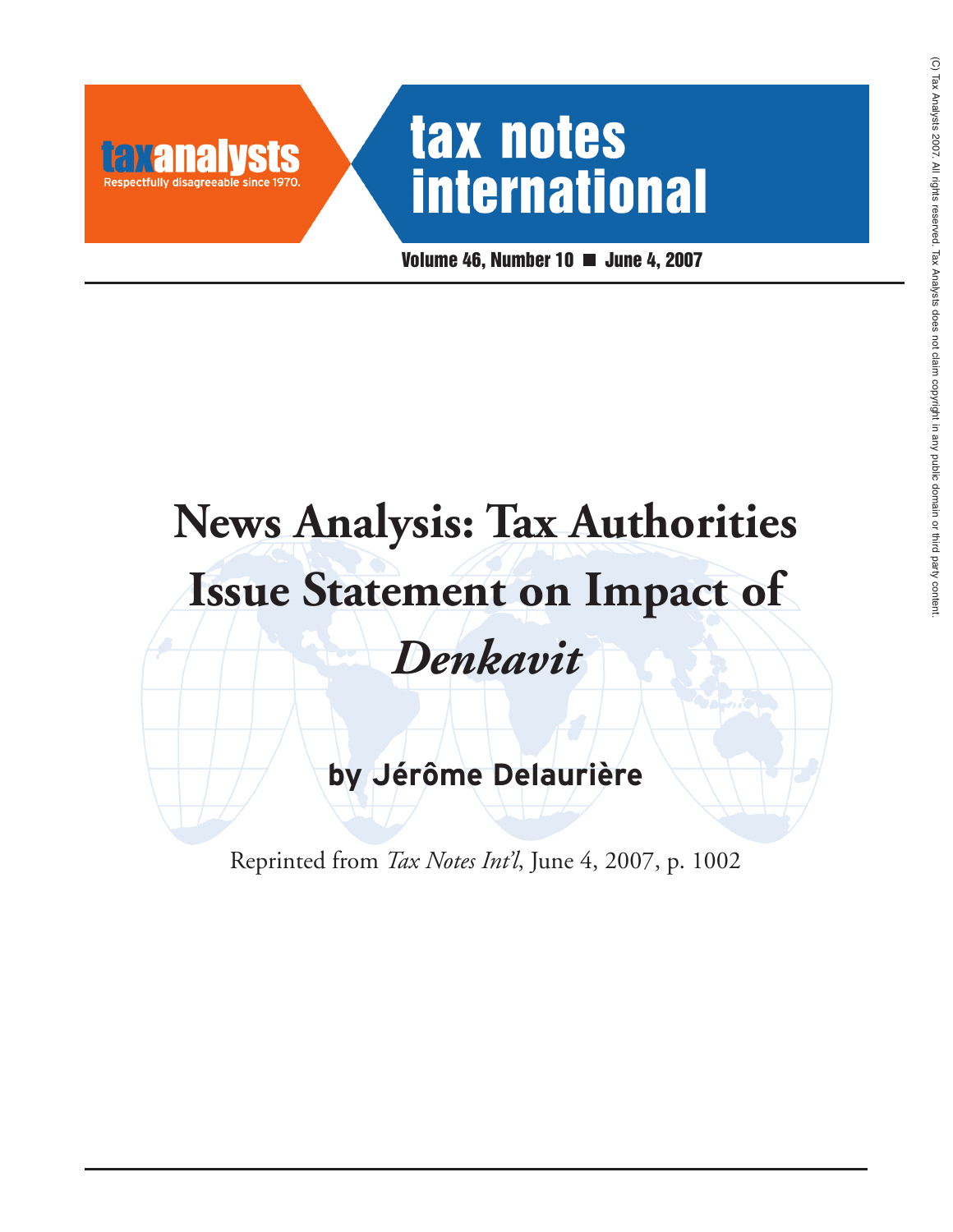# tax notes **international**

**Volume 46, Number 10 June 4, 2007**

# **News Analysis: Tax Authorities Issue Statement on Impact of** *Denkavit*

**by Jérôme Delaurière**

Reprinted from *Tax Notes Int'l*, June 4, 2007, p. 1002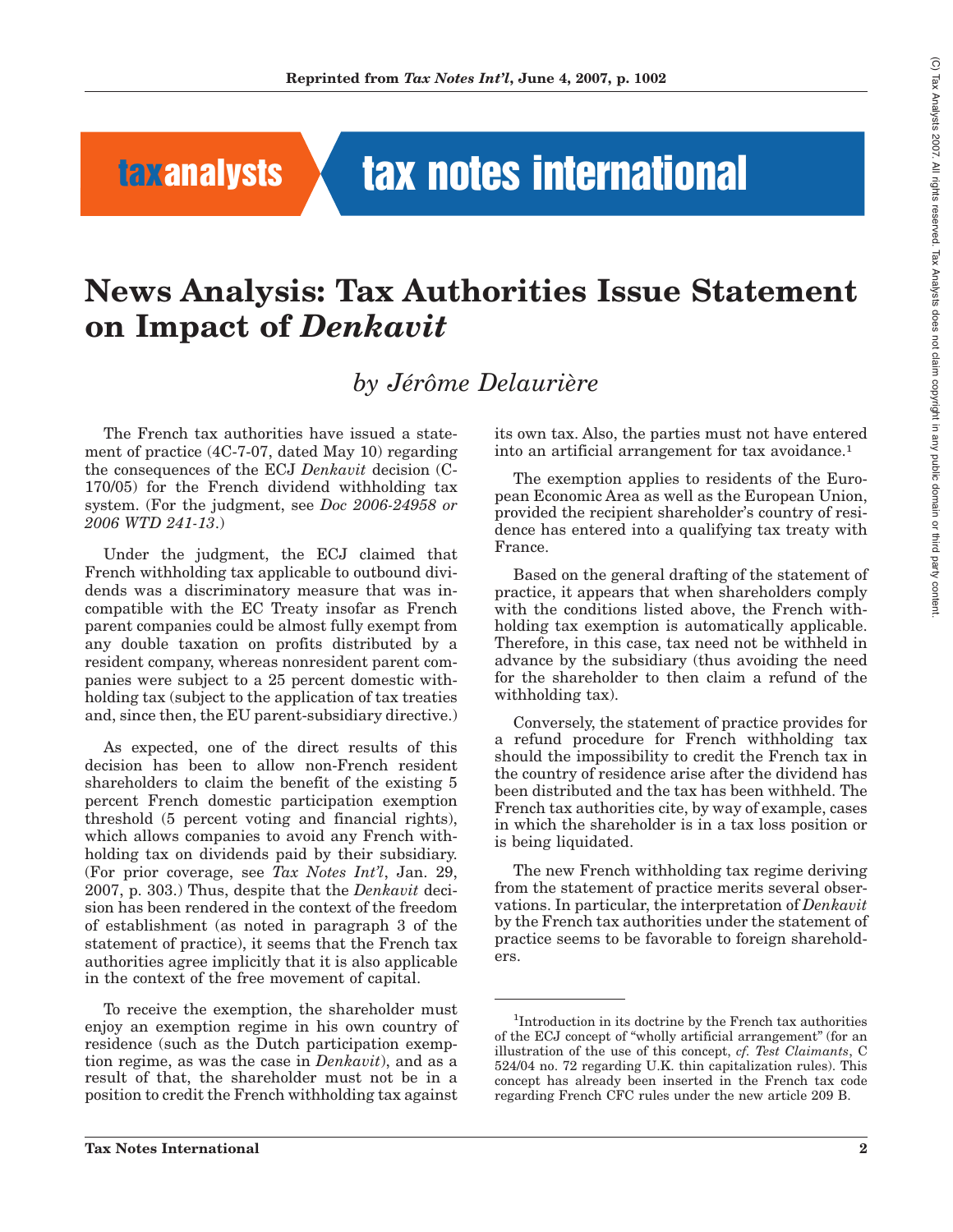## **taxanalysts tax notes international**

## **News Analysis: Tax Authorities Issue Statement on Impact of** *Denkavit*

### *by Jérôme Delaurière*

The French tax authorities have issued a statement of practice (4C-7-07, dated May 10) regarding the consequences of the ECJ *Denkavit* decision (C-170/05) for the French dividend withholding tax system. (For the judgment, see *Doc 2006-24958 or 2006 WTD 241-13*.)

Under the judgment, the ECJ claimed that French withholding tax applicable to outbound dividends was a discriminatory measure that was incompatible with the EC Treaty insofar as French parent companies could be almost fully exempt from any double taxation on profits distributed by a resident company, whereas nonresident parent companies were subject to a 25 percent domestic withholding tax (subject to the application of tax treaties and, since then, the EU parent-subsidiary directive.)

As expected, one of the direct results of this decision has been to allow non-French resident shareholders to claim the benefit of the existing 5 percent French domestic participation exemption threshold (5 percent voting and financial rights), which allows companies to avoid any French withholding tax on dividends paid by their subsidiary. (For prior coverage, see *Tax Notes Int'l*, Jan. 29, 2007, p. 303.) Thus, despite that the *Denkavit* decision has been rendered in the context of the freedom of establishment (as noted in paragraph 3 of the statement of practice), it seems that the French tax authorities agree implicitly that it is also applicable in the context of the free movement of capital.

To receive the exemption, the shareholder must enjoy an exemption regime in his own country of residence (such as the Dutch participation exemption regime, as was the case in *Denkavit*), and as a result of that, the shareholder must not be in a position to credit the French withholding tax against its own tax. Also, the parties must not have entered into an artificial arrangement for tax avoidance.1

The exemption applies to residents of the European Economic Area as well as the European Union, provided the recipient shareholder's country of residence has entered into a qualifying tax treaty with France.

Based on the general drafting of the statement of practice, it appears that when shareholders comply with the conditions listed above, the French withholding tax exemption is automatically applicable. Therefore, in this case, tax need not be withheld in advance by the subsidiary (thus avoiding the need for the shareholder to then claim a refund of the withholding tax).

Conversely, the statement of practice provides for a refund procedure for French withholding tax should the impossibility to credit the French tax in the country of residence arise after the dividend has been distributed and the tax has been withheld. The French tax authorities cite, by way of example, cases in which the shareholder is in a tax loss position or is being liquidated.

The new French withholding tax regime deriving from the statement of practice merits several observations. In particular, the interpretation of *Denkavit* by the French tax authorities under the statement of practice seems to be favorable to foreign shareholders.

<sup>1</sup> Introduction in its doctrine by the French tax authorities of the ECJ concept of ''wholly artificial arrangement'' (for an illustration of the use of this concept, *cf. Test Claimants*, C 524/04 no. 72 regarding U.K. thin capitalization rules). This concept has already been inserted in the French tax code regarding French CFC rules under the new article 209 B.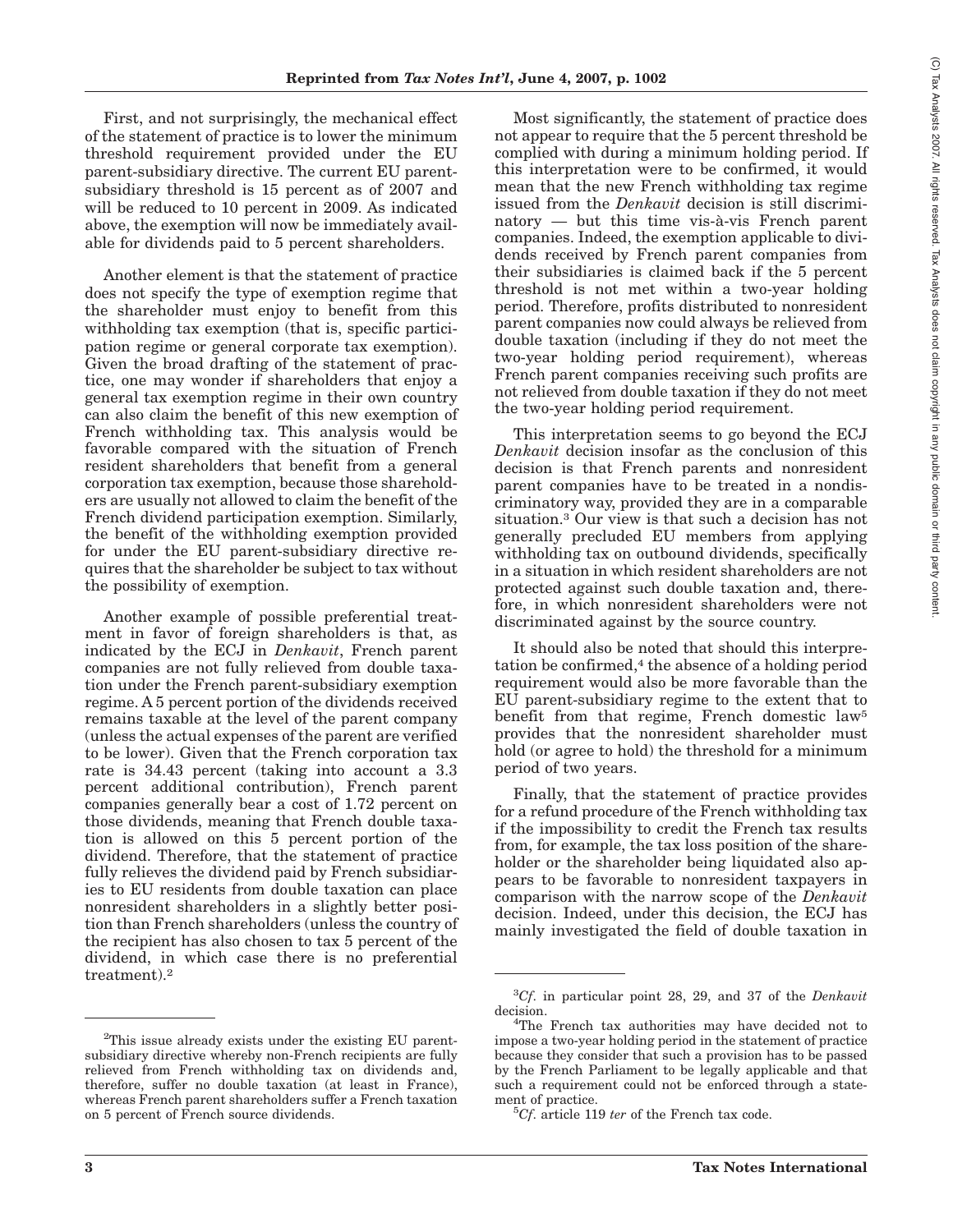First, and not surprisingly, the mechanical effect of the statement of practice is to lower the minimum threshold requirement provided under the EU parent-subsidiary directive. The current EU parentsubsidiary threshold is 15 percent as of 2007 and will be reduced to 10 percent in 2009. As indicated above, the exemption will now be immediately available for dividends paid to 5 percent shareholders.

Another element is that the statement of practice does not specify the type of exemption regime that the shareholder must enjoy to benefit from this withholding tax exemption (that is, specific participation regime or general corporate tax exemption). Given the broad drafting of the statement of practice, one may wonder if shareholders that enjoy a general tax exemption regime in their own country can also claim the benefit of this new exemption of French withholding tax. This analysis would be favorable compared with the situation of French resident shareholders that benefit from a general corporation tax exemption, because those shareholders are usually not allowed to claim the benefit of the French dividend participation exemption. Similarly, the benefit of the withholding exemption provided for under the EU parent-subsidiary directive requires that the shareholder be subject to tax without the possibility of exemption.

Another example of possible preferential treatment in favor of foreign shareholders is that, as indicated by the ECJ in *Denkavit*, French parent companies are not fully relieved from double taxation under the French parent-subsidiary exemption regime. A 5 percent portion of the dividends received remains taxable at the level of the parent company (unless the actual expenses of the parent are verified to be lower). Given that the French corporation tax rate is 34.43 percent (taking into account a 3.3 percent additional contribution), French parent companies generally bear a cost of 1.72 percent on those dividends, meaning that French double taxation is allowed on this 5 percent portion of the dividend. Therefore, that the statement of practice fully relieves the dividend paid by French subsidiaries to EU residents from double taxation can place nonresident shareholders in a slightly better position than French shareholders (unless the country of the recipient has also chosen to tax 5 percent of the dividend, in which case there is no preferential treatment).2

Most significantly, the statement of practice does not appear to require that the 5 percent threshold be complied with during a minimum holding period. If this interpretation were to be confirmed, it would mean that the new French withholding tax regime issued from the *Denkavit* decision is still discriminatory — but this time vis-à-vis French parent companies. Indeed, the exemption applicable to dividends received by French parent companies from their subsidiaries is claimed back if the 5 percent threshold is not met within a two-year holding period. Therefore, profits distributed to nonresident parent companies now could always be relieved from double taxation (including if they do not meet the two-year holding period requirement), whereas French parent companies receiving such profits are not relieved from double taxation if they do not meet the two-year holding period requirement.

This interpretation seems to go beyond the ECJ *Denkavit* decision insofar as the conclusion of this decision is that French parents and nonresident parent companies have to be treated in a nondiscriminatory way, provided they are in a comparable situation.3 Our view is that such a decision has not generally precluded EU members from applying withholding tax on outbound dividends, specifically in a situation in which resident shareholders are not protected against such double taxation and, therefore, in which nonresident shareholders were not discriminated against by the source country.

It should also be noted that should this interpretation be confirmed, $4$  the absence of a holding period requirement would also be more favorable than the EU parent-subsidiary regime to the extent that to benefit from that regime, French domestic law5 provides that the nonresident shareholder must hold (or agree to hold) the threshold for a minimum period of two years.

Finally, that the statement of practice provides for a refund procedure of the French withholding tax if the impossibility to credit the French tax results from, for example, the tax loss position of the shareholder or the shareholder being liquidated also appears to be favorable to nonresident taxpayers in comparison with the narrow scope of the *Denkavit* decision. Indeed, under this decision, the ECJ has mainly investigated the field of double taxation in  $\widehat{\Omega}$  TaxAnalysts

2007.

All rights

reserved.

Tax

Analysts does not

claim

<sup>&</sup>lt;sup>2</sup>This issue already exists under the existing EU parentsubsidiary directive whereby non-French recipients are fully relieved from French withholding tax on dividends and, therefore, suffer no double taxation (at least in France), whereas French parent shareholders suffer a French taxation on 5 percent of French source dividends.

<sup>3</sup> *Cf*. in particular point 28, 29, and 37 of the *Denkavit* decision.

<sup>&</sup>lt;sup>4</sup>The French tax authorities may have decided not to impose a two-year holding period in the statement of practice because they consider that such a provision has to be passed by the French Parliament to be legally applicable and that such a requirement could not be enforced through a statement of practice.

<sup>&</sup>lt;sup>5</sup>Cf. article 119 *ter* of the French tax code.